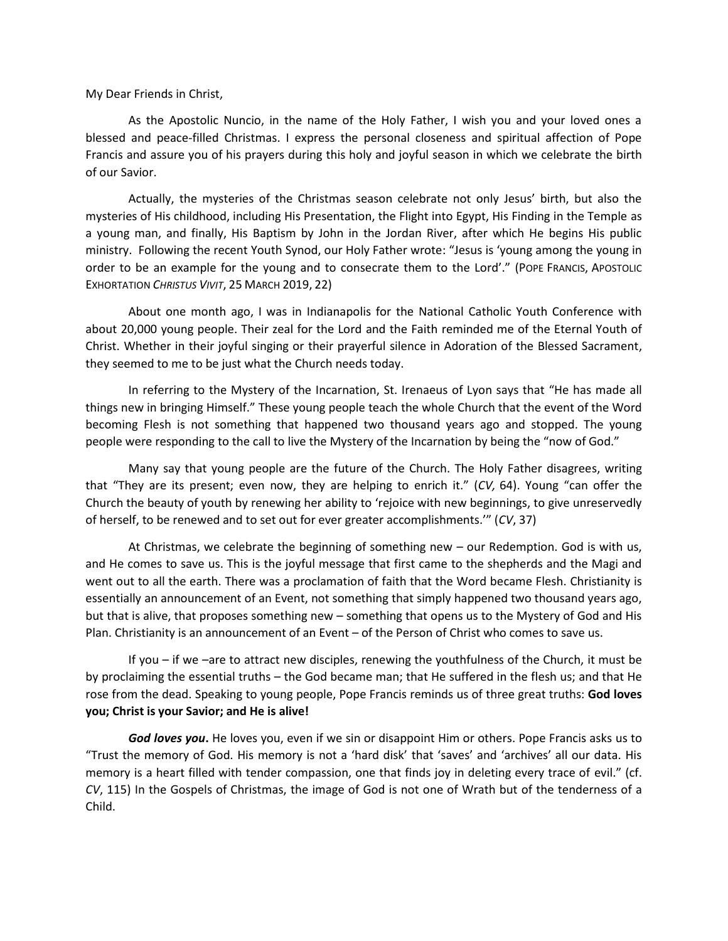My Dear Friends in Christ,

As the Apostolic Nuncio, in the name of the Holy Father, I wish you and your loved ones a blessed and peace-filled Christmas. I express the personal closeness and spiritual affection of Pope Francis and assure you of his prayers during this holy and joyful season in which we celebrate the birth of our Savior.

Actually, the mysteries of the Christmas season celebrate not only Jesus' birth, but also the mysteries of His childhood, including His Presentation, the Flight into Egypt, His Finding in the Temple as a young man, and finally, His Baptism by John in the Jordan River, after which He begins His public ministry. Following the recent Youth Synod, our Holy Father wrote: "Jesus is 'young among the young in order to be an example for the young and to consecrate them to the Lord'." (POPE FRANCIS, APOSTOLIC EXHORTATION *CHRISTUS VIVIT*, 25 MARCH 2019, 22)

About one month ago, I was in Indianapolis for the National Catholic Youth Conference with about 20,000 young people. Their zeal for the Lord and the Faith reminded me of the Eternal Youth of Christ. Whether in their joyful singing or their prayerful silence in Adoration of the Blessed Sacrament, they seemed to me to be just what the Church needs today.

In referring to the Mystery of the Incarnation, St. Irenaeus of Lyon says that "He has made all things new in bringing Himself." These young people teach the whole Church that the event of the Word becoming Flesh is not something that happened two thousand years ago and stopped. The young people were responding to the call to live the Mystery of the Incarnation by being the "now of God."

Many say that young people are the future of the Church. The Holy Father disagrees, writing that "They are its present; even now, they are helping to enrich it." (*CV,* 64). Young "can offer the Church the beauty of youth by renewing her ability to 'rejoice with new beginnings, to give unreservedly of herself, to be renewed and to set out for ever greater accomplishments.'" (*CV*, 37)

At Christmas, we celebrate the beginning of something new – our Redemption. God is with us, and He comes to save us. This is the joyful message that first came to the shepherds and the Magi and went out to all the earth. There was a proclamation of faith that the Word became Flesh. Christianity is essentially an announcement of an Event, not something that simply happened two thousand years ago, but that is alive, that proposes something new – something that opens us to the Mystery of God and His Plan. Christianity is an announcement of an Event – of the Person of Christ who comes to save us.

If you – if we –are to attract new disciples, renewing the youthfulness of the Church, it must be by proclaiming the essential truths – the God became man; that He suffered in the flesh us; and that He rose from the dead. Speaking to young people, Pope Francis reminds us of three great truths: **God loves you; Christ is your Savior; and He is alive!**

*God loves you***.** He loves you, even if we sin or disappoint Him or others. Pope Francis asks us to "Trust the memory of God. His memory is not a 'hard disk' that 'saves' and 'archives' all our data. His memory is a heart filled with tender compassion, one that finds joy in deleting every trace of evil." (cf. *CV*, 115) In the Gospels of Christmas, the image of God is not one of Wrath but of the tenderness of a Child.